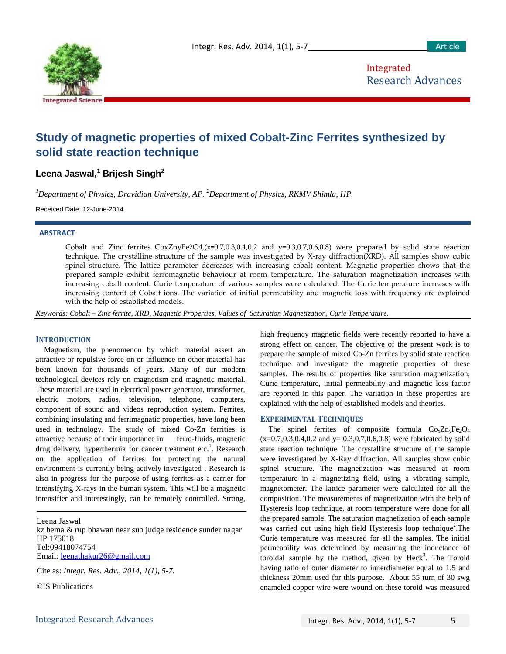

Integrated Research Advances

# **Study of magnetic properties of mixed Cobalt-Zinc Ferrites synthesized by solid state reaction technique**

**Leena Jaswal,<sup>1</sup> Brijesh Singh2**

*1 Department of Physics, Dravidian University, AP. <sup>2</sup> Department of Physics, RKMV Shimla, HP.*

Received Date: 12-June-2014

#### **ABSTRACT**

Cobalt and Zinc ferrites  $CoxZnyFe2O4$ ,  $(x=0.7,0.3,0.4,0.2$  and  $y=0.3,0.7,0.6,0.8)$  were prepared by solid state reaction technique. The crystalline structure of the sample was investigated by X-ray diffraction(XRD). All samples show cubic spinel structure. The lattice parameter decreases with increasing cobalt content. Magnetic properties shows that the prepared sample exhibit ferromagnetic behaviour at room temperature. The saturation magnetization increases with increasing cobalt content. Curie temperature of various samples were calculated. The Curie temperature increases with increasing content of Cobalt ions. The variation of initial permeability and magnetic loss with frequency are explained with the help of established models.

*Keywords: Cobalt – Zinc ferrite, XRD, Magnetic Properties, Values of Saturation Magnetization, Curie Temperature.*

## **INTRODUCTION**

Magnetism, the phenomenon by which material assert an attractive or repulsive force on or influence on other material has been known for thousands of years. Many of our modern technological devices rely on magnetism and magnetic material. These material are used in electrical power generator, transformer, electric motors, radios, television, telephone, computers, component of sound and videos reproduction system. Ferrites, combining insulating and ferrimagnatic properties, have long been used in technology. The study of mixed Co-Zn ferrities is attractive because of their importance in ferro-fluids, magnetic drug delivery, hyperthermia for cancer treatment etc.<sup>1</sup>. Research on the application of ferrites for protecting the natural environment is currently being actively investigated . Research is also in progress for the purpose of using ferrites as a carrier for intensifying X-rays in the human system. This will be a magnetic intensifier and interestingly, can be remotely controlled. Strong,

Leena Jaswal kz hema & rup bhawan near sub judge residence sunder nagar HP 175018 Tel:09418074754 Email: [leenathakur26@gmail.com](mailto:leenathakur26@gmail.com)

Cite as: *Integr. Res. Adv., 2014, 1(1), 5-7.*

©IS Publications

high frequency magnetic fields were recently reported to have a strong effect on cancer. The objective of the present work is to prepare the sample of mixed Co-Zn ferrites by solid state reaction technique and investigate the magnetic properties of these samples. The results of properties like saturation magnetization, Curie temperature, initial permeability and magnetic loss factor are reported in this paper. The variation in these properties are explained with the help of established models and theories.

## **EXPERIMENTAL TECHNIQUES**

The spinel ferrites of composite formula  $Co<sub>x</sub>Zn<sub>y</sub>Fe<sub>2</sub>O<sub>4</sub>$  $(x=0.7, 0.3, 0.4, 0.2, 0.4, 0.2, 0.3, 0.7, 0.6, 0.8)$  were fabricated by solid state reaction technique. The crystalline structure of the sample were investigated by X-Ray diffraction. All samples show cubic spinel structure. The magnetization was measured at room temperature in a magnetizing field, using a vibrating sample, magnetometer. The lattice parameter were calculated for all the composition. The measurements of magnetization with the help of Hysteresis loop technique, at room temperature were done for all the prepared sample. The saturation magnetization of each sample was carried out using high field Hysteresis loop technique<sup>2</sup>. The Curie temperature was measured for all the samples. The initial permeability was determined by measuring the inductance of toroidal sample by the method, given by  $\text{Heck}^3$ . The Toroid having ratio of outer diameter to innerdiameter equal to 1.5 and thickness 20mm used for this purpose. About 55 turn of 30 swg enameled copper wire were wound on these toroid was measured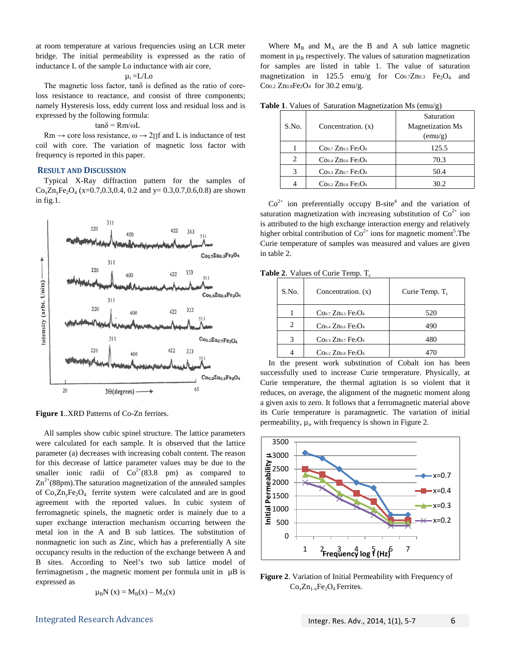at room temperature at various frequencies using an LCR meter bridge. The initial permeability is expressed as the ratio of inductance L of the sample Lo inductance with air core,

$$
\mu_i = L/Lo
$$

The magnetic loss factor, tanδ is defined as the ratio of coreloss resistance to reactance, and consist of three components; namely Hysteresis loss, eddy current loss and residual loss and is expressed by the following formula:

# tanδ = Rm/ωL

 $Rm \rightarrow core$  loss resistance,  $\omega \rightarrow 2\pi f$  and L is inductance of test coil with core. The variation of magnetic loss factor with frequency is reported in this paper.

## **RESULT AND DISCUSSION**

Typical X-Ray diffraction pattern for the samples of  $Co_xZn_yFe_2O_4$  (x=0.7,0.3,0.4, 0.2 and y= 0.3,0.7,0.6,0.8) are shown in fig.1.



**Figure 1**..XRD Patterns of Co-Zn ferrites.

All samples show cubic spinel structure. The lattice parameters were calculated for each sample. It is observed that the lattice parameter (a) decreases with increasing cobalt content. The reason for this decrease of lattice parameter values may be due to the smaller ionic radii of  $Co^{2+}(83.8 \text{ pm})$  as compared to  $\text{Zn}^{2+}$ (88pm). The saturation magnetization of the annealed samples of  $Co<sub>x</sub>Zn<sub>y</sub>Fe<sub>2</sub>O<sub>4</sub>$  ferrite system were calculated and are in good agreement with the reported values. In cubic system of ferromagnetic spinels, the magnetic order is mainely due to a super exchange interaction mechanism occurring between the metal ion in the A and B sub lattices. The substitution of nonmagnetic ion such as Zinc, which has a preferentially A site occupancy results in the reduction of the exchange between A and B sites. According to Neel's two sub lattice model of ferrimagnetism, the magnetic moment per formula unit in  $\mu$ B is expressed as

$$
\mu_B N(x) = M_B(x) - M_A(x)
$$

Where  $M_B$  and  $M_A$  are the B and A sub lattice magnetic moment in  $\mu_B$  respectively. The values of saturation magnetization for samples are listed in table 1. The value of saturation magnetization in 125.5 emu/g for  $Coo.7Zn0.3$  Fe<sub>2</sub>O<sub>4</sub> and Co0.2 Zn0.8Fe2O4 for 30.2 emu/g.

| S.No.          | Concentration. $(x)$ | Saturation<br><b>Magnetization Ms</b><br>(emu/g) |
|----------------|----------------------|--------------------------------------------------|
|                | $Co0.7 Zn0.3 Fe2O4$  | 125.5                                            |
| $\overline{c}$ | $Co0.4 Zn0.6 Fe2O4$  | 70.3                                             |
| 3              | $Co0.3 Zn0.7 Fe2O4$  | 50.4                                             |
|                | $Co0.2 Zn0.8 Fe2O4$  | 30.2                                             |

**Table 1**. Values of Saturation Magnetization Ms (emu/g)

 $Co<sup>2+</sup>$  ion preferentially occupy B-site<sup>4</sup> and the variation of saturation magnetization with increasing substitution of  $Co<sup>2+</sup>$  ion is attributed to the high exchange interaction energy and relatively higher orbital contribution of  $\text{Co}^{2+}$  ions for magnetic moment<sup>5</sup>. The Curie temperature of samples was measured and values are given in table 2.

**Table 2.** Values of Curie Temp. T<sub>c</sub>

| S.No. | Concentration. $(x)$ | Curie Temp. $T_c$ |
|-------|----------------------|-------------------|
|       | $Co0.7 Zn0.3 Fe2O4$  | 520               |
| 2     | $Co0.4 Zn0.6 Fe2O4$  | 490               |
| 3     | $Co0.3 Zn0.7 Fe2O4$  | 480               |
|       | $Co0.2 Zn0.8 Fe2O4$  | 470               |

In the present work substitution of Cobalt ion has been successfully used to increase Curie temperature. Physically, at Curie temperature, the thermal agitation is so violent that it reduces, on average, the alignment of the magnetic moment along a given axis to zero. It follows that a ferromagnetic material above its Curie temperature is paramagnetic. The variation of initial permeability,  $\mu_i$ , with frequency is shown in Figure 2.



**Figure 2**. Variation of Initial Permeability with Frequency of  $Co<sub>x</sub>Zn<sub>1-x</sub>Fe<sub>2</sub>O<sub>4</sub> Ferrites.$